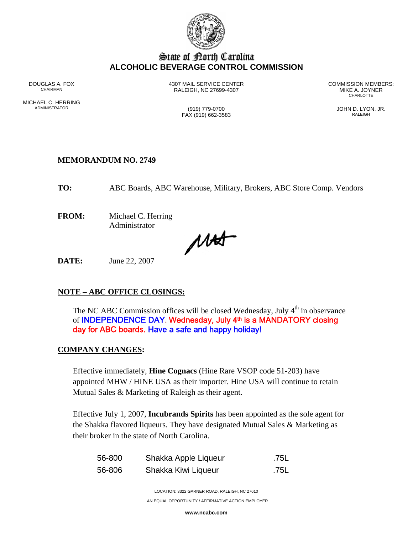

## State of Borth Carolina **ALCOHOLIC BEVERAGE CONTROL COMMISSION**

MICHAEL C. HERRING<br>ADMINISTRATOR

DOUGLAS A. FOX **1307 MAIL SERVICE CENTER** COMMISSION MEMBERS:<br>CHAIRMAN CHAIRMAN CHAIRMAN BEACH C 27699-4307 RALEIGH, NC 27699-4307 MIKE A. JOYNER **CHARLOTTE** 

 $FAX (919) 662-3583$ 

(919) 779-0700 (919) 779-0700 JOHN D. LYON, JR.

## **MEMORANDUM NO. 2749**

**TO:** ABC Boards, ABC Warehouse, Military, Brokers, ABC Store Comp. Vendors

**FROM:** Michael C. Herring Administrator

Mat

**DATE:** June 22, 2007

## **NOTE – ABC OFFICE CLOSINGS:**

The NC ABC Commission offices will be closed Wednesday, July  $4<sup>th</sup>$  in observance of INDEPENDENCE DAY. Wednesday, July 4<sup>th</sup> is a MANDATORY closing day for ABC boards. Have a safe and happy holiday!

## **COMPANY CHANGES:**

Effective immediately, **Hine Cognacs** (Hine Rare VSOP code 51-203) have appointed MHW / HINE USA as their importer. Hine USA will continue to retain Mutual Sales & Marketing of Raleigh as their agent.

Effective July 1, 2007, **Incubrands Spirits** has been appointed as the sole agent for the Shakka flavored liqueurs. They have designated Mutual Sales & Marketing as their broker in the state of North Carolina.

| 56-800 | Shakka Apple Liqueur | .75L |
|--------|----------------------|------|
| 56-806 | Shakka Kiwi Liqueur  | .75L |

LOCATION: 3322 GARNER ROAD, RALEIGH, NC 27610 AN EQUAL OPPORTUNITY / AFFIRMATIVE ACTION EMPLOYER

**www.ncabc.com**